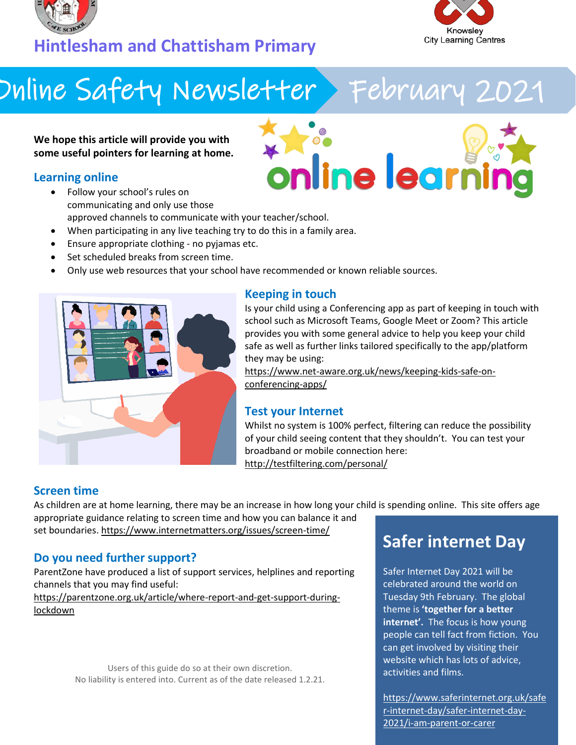



# Online Safety Newsletter February 2021

**We hope this article will provide you with some useful pointers for learning at home.**

## **Learning online**

- online learni • Follow your school's rules on communicating and only use those approved channels to communicate with your teacher/school.
- When participating in any live teaching try to do this in a family area.
- Ensure appropriate clothing no pyjamas etc.
- Set scheduled breaks from screen time.
- Only use web resources that your school have recommended or known reliable sources.



### **Keeping in touch**

Is your child using a Conferencing app as part of keeping in touch with school such as Microsoft Teams, Google Meet or Zoom? This article provides you with some general advice to help you keep your child safe as well as further links tailored specifically to the app/platform they may be using:

[https://www.net-aware.org.uk/news/keeping-kids-safe-on](https://www.net-aware.org.uk/news/keeping-kids-safe-on-conferencing-apps/)[conferencing-apps/](https://www.net-aware.org.uk/news/keeping-kids-safe-on-conferencing-apps/)

#### **Test your Internet**

Whilst no system is 100% perfect, filtering can reduce the possibility of your child seeing content that they shouldn't. You can test your broadband or mobile connection here: <http://testfiltering.com/personal/>

## **Screen time**

As children are at home learning, there may be an increase in how long your child is spending online. This site offers age appropriate guidance relating to screen time and how you can balance it and

set boundaries[. https://www.internetmatters.org/issues/screen-time/](https://www.internetmatters.org/issues/screen-time/)

### **Do you need further support?**

ParentZone have produced a list of support services, helplines and reporting channels that you may find useful:

[https://parentzone.org.uk/article/where-report-and-get-support-during](https://parentzone.org.uk/article/where-report-and-get-support-during-lockdown)[lockdown](https://parentzone.org.uk/article/where-report-and-get-support-during-lockdown)

> Users of this guide do so at their own discretion. No liability is entered into. Current as of the date released 1.2.21.

# **Safer internet Day**

Safer Internet Day 2021 will be celebrated around the world on Tuesday 9th February. The global theme is **'together for a better internet'.** The focus is how young people can tell fact from fiction. You can get involved by visiting their website which has lots of advice, activities and films.

[https://www.saferinternet.org.uk/safe](https://www.saferinternet.org.uk/safer-internet-day/safer-internet-day-2021/i-am-parent-or-carer) [r-internet-day/safer-internet-day-](https://www.saferinternet.org.uk/safer-internet-day/safer-internet-day-2021/i-am-parent-or-carer)[2021/i-am-parent-or-carer](https://www.saferinternet.org.uk/safer-internet-day/safer-internet-day-2021/i-am-parent-or-carer)